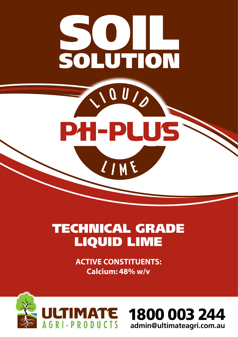

# TECHNICAL GRADE LIQUID LIME

**ACTIVE CONSTITUENTS: Calcium: 48% w/v**



1800 003 244 **admin@ultimateagri.com.au**